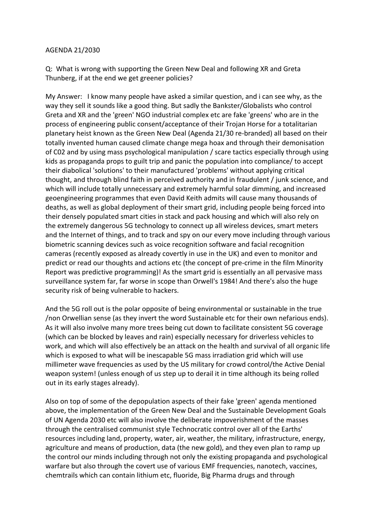## AGENDA 21/2030

Q: What is wrong with supporting the Green New Deal and following XR and Greta Thunberg, if at the end we get greener policies?

My Answer: I know many people have asked a similar question, and i can see why, as the way they sell it sounds like a good thing. But sadly the Bankster/Globalists who control Greta and XR and the 'green' NGO industrial complex etc are fake 'greens' who are in the process of engineering public consent/acceptance of their Trojan Horse for a totalitarian planetary heist known as the Green New Deal (Agenda 21/30 re-branded) all based on their totally invented human caused climate change mega hoax and through their demonisation of C02 and by using mass psychological manipulation / scare tactics especially through using kids as propaganda props to guilt trip and panic the population into compliance/ to accept their diabolical 'solutions' to their manufactured 'problems' without applying critical thought, and through blind faith in perceived authority and in fraudulent / junk science, and which will include totally unnecessary and extremely harmful solar dimming, and increased geoengineering programmes that even David Keith admits will cause many thousands of deaths, as well as global deployment of their smart grid, including people being forced into their densely populated smart cities in stack and pack housing and which will also rely on the extremely dangerous 5G technology to connect up all wireless devices, smart meters and the Internet of things, and to track and spy on our every move including through various biometric scanning devices such as voice recognition software and facial recognition cameras (recently exposed as already covertly in use in the UK) and even to monitor and predict or read our thoughts and actions etc (the concept of pre-crime in the film Minority Report was predictive programming)! As the smart grid is essentially an all pervasive mass surveillance system far, far worse in scope than Orwell's 1984! And there's also the huge security risk of being vulnerable to hackers.

And the 5G roll out is the polar opposite of being environmental or sustainable in the true /non Orwellian sense (as they invert the word Sustainable etc for their own nefarious ends). As it will also involve many more trees being cut down to facilitate consistent 5G coverage (which can be blocked by leaves and rain) especially necessary for driverless vehicles to work, and which will also effectively be an attack on the health and survival of all organic life which is exposed to what will be inescapable 5G mass irradiation grid which will use millimeter wave frequencies as used by the US military for crowd control/the Active Denial weapon system! (unless enough of us step up to derail it in time although its being rolled out in its early stages already).

Also on top of some of the depopulation aspects of their fake 'green' agenda mentioned above, the implementation of the Green New Deal and the Sustainable Development Goals of UN Agenda 2030 etc will also involve the deliberate impoverishment of the masses through the centralised communist style Technocratic control over all of the Earths' resources including land, property, water, air, weather, the military, infrastructure, energy, agriculture and means of production, data (the new gold), and they even plan to ramp up the control our minds including through not only the existing propaganda and psychological warfare but also through the covert use of various EMF frequencies, nanotech, vaccines, chemtrails which can contain lithium etc, fluoride, Big Pharma drugs and through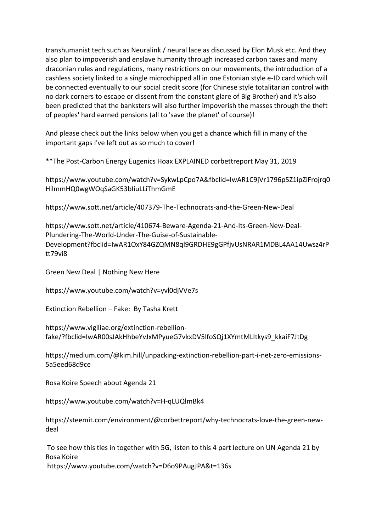transhumanist tech such as Neuralink / neural lace as discussed by Elon Musk etc. And they also plan to impoverish and enslave humanity through increased carbon taxes and many draconian rules and regulations, many restrictions on our movements, the introduction of a cashless society linked to a single microchipped all in one Estonian style e-ID card which will be connected eventually to our social credit score (for Chinese style totalitarian control with no dark corners to escape or dissent from the constant glare of Big Brother) and it's also been predicted that the banksters will also further impoverish the masses through the theft of peoples' hard earned pensions (all to 'save the planet' of course)!

And please check out the links below when you get a chance which fill in many of the important gaps I've left out as so much to cover!

\*\*The Post-Carbon Energy Eugenics Hoax EXPLAINED corbettreport May 31, 2019

https://www.youtube.com/watch?v=SykwLpCpo7A&fbclid=IwAR1C9jVr1796p5Z1ipZiFrojrq0 HilmmHQ0wgWOqSaGK53bIiuLLiThmGmE

https://www.sott.net/article/407379-The-Technocrats-and-the-Green-New-Deal 

https://www.sott.net/article/410674-Beware-Agenda-21-And-Its-Green-New-Deal-Plundering-The-World-Under-The-Guise-of-Sustainable-Development?fbclid=IwAR1OxY84GZQMN8ql9GRDHE9gGPfjvUsNRAR1MDBL4AA14Uwsz4rP tt79vi8

Green New Deal | Nothing New Here

https://www.youtube.com/watch?v=yvl0djVVe7s

Extinction Rebellion – Fake: By Tasha Krett

https://www.vigiliae.org/extinction-rebellionfake/?fbclid=IwAR00sJAkHhbeYvJxMPyueG7vkxDV5lfoSQj1XYmtMLItkys9\_kkaiF7JtDg

https://medium.com/@kim.hill/unpacking-extinction-rebellion-part-i-net-zero-emissions-5a5eed68d9ce

Rosa Koire Speech about Agenda 21

https://www.youtube.com/watch?v=H-qLUQlmBk4

https://steemit.com/environment/@corbettreport/why-technocrats-love-the-green-newdeal

To see how this ties in together with 5G, listen to this 4 part lecture on UN Agenda 21 by Rosa Koire https://www.youtube.com/watch?v=D6o9PAugJPA&t=136s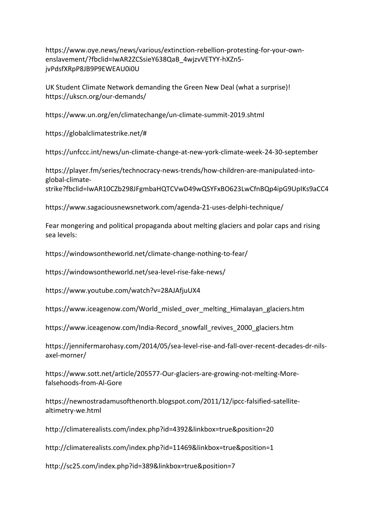https://www.oye.news/news/various/extinction-rebellion-protesting-for-your-ownenslavement/?fbclid=IwAR2ZCSsieY638QaB\_4wjzvVETYY-hXZn5 jvPdsfXRpP8JB9P9EWEAU0i0U

UK Student Climate Network demanding the Green New Deal (what a surprise)! https://ukscn.org/our-demands/

https://www.un.org/en/climatechange/un-climate-summit-2019.shtml 

https://globalclimatestrike.net/#

https://unfccc.int/news/un-climate-change-at-new-york-climate-week-24-30-september

https://player.fm/series/technocracy-news-trends/how-children-are-manipulated-intoglobal-climate-

strike?fbclid=IwAR10CZb298JFgmbaHQTCVwD49wQSYFxBO623LwCfnBQp4ipG9UpIKs9aCC4

https://www.sagaciousnewsnetwork.com/agenda-21-uses-delphi-technique/

Fear mongering and political propaganda about melting glaciers and polar caps and rising sea levels:

https://windowsontheworld.net/climate-change-nothing-to-fear/

https://windowsontheworld.net/sea-level-rise-fake-news/

https://www.youtube.com/watch?v=28AJAfjuUX4

https://www.iceagenow.com/World\_misled\_over\_melting\_Himalayan\_glaciers.htm

https://www.iceagenow.com/India-Record\_snowfall\_revives\_2000\_glaciers.htm

https://jennifermarohasy.com/2014/05/sea-level-rise-and-fall-over-recent-decades-dr-nilsaxel-morner/

https://www.sott.net/article/205577-Our-glaciers-are-growing-not-melting-Morefalsehoods-from-Al-Gore

https://newnostradamusofthenorth.blogspot.com/2011/12/ipcc-falsified-satellitealtimetry-we.html

http://climaterealists.com/index.php?id=4392&linkbox=true&position=20

http://climaterealists.com/index.php?id=11469&linkbox=true&position=1

http://sc25.com/index.php?id=389&linkbox=true&position=7